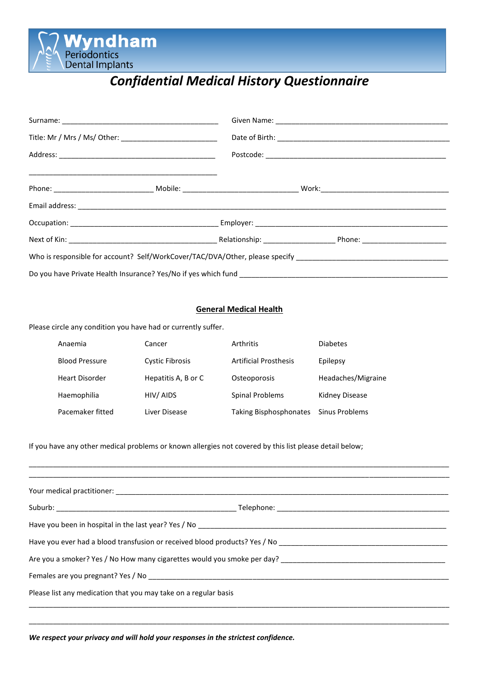

## *Confidential Medical History Questionnaire*

|                                                                                                                |  |  | Next of Kin: Next of Kin: Next of Kin: Next of Kin: Next of Kin: Next of Kin: Next of Kin: Next of Kin: Next of Kin: Next of Kin: Next of Kin: Next of Kin: Next of Kin: Next of Kin: Next of Kin: Next of Kin: Next of Kin: N |  |  |
|----------------------------------------------------------------------------------------------------------------|--|--|--------------------------------------------------------------------------------------------------------------------------------------------------------------------------------------------------------------------------------|--|--|
| Who is responsible for account? Self/WorkCover/TAC/DVA/Other, please specify _________________________________ |  |  |                                                                                                                                                                                                                                |  |  |
|                                                                                                                |  |  |                                                                                                                                                                                                                                |  |  |

## **General Medical Health**

Please circle any condition you have had or currently suffer.

| Anaemia               | Cancer                 | Arthritis                     | <b>Diabetes</b>    |
|-----------------------|------------------------|-------------------------------|--------------------|
| <b>Blood Pressure</b> | <b>Cystic Fibrosis</b> | <b>Artificial Prosthesis</b>  | Epilepsy           |
| Heart Disorder        | Hepatitis A, B or C    | Osteoporosis                  | Headaches/Migraine |
| Haemophilia           | HIV/AIDS               | Spinal Problems               | Kidney Disease     |
| Pacemaker fitted      | Liver Disease          | <b>Taking Bisphosphonates</b> | Sinus Problems     |

If you have any other medical problems or known allergies not covered by this list please detail below;

| Are you a smoker? Yes / No How many cigarettes would you smoke per day? |  |  |  |
|-------------------------------------------------------------------------|--|--|--|
|                                                                         |  |  |  |
| Please list any medication that you may take on a regular basis         |  |  |  |

\_\_\_\_\_\_\_\_\_\_\_\_\_\_\_\_\_\_\_\_\_\_\_\_\_\_\_\_\_\_\_\_\_\_\_\_\_\_\_\_\_\_\_\_\_\_\_\_\_\_\_\_\_\_\_\_\_\_\_\_\_\_\_\_\_\_\_\_\_\_\_\_\_\_\_\_\_\_\_\_\_\_\_\_\_\_\_\_\_\_\_\_\_\_\_\_\_\_\_\_\_\_\_\_\_

\_\_\_\_\_\_\_\_\_\_\_\_\_\_\_\_\_\_\_\_\_\_\_\_\_\_\_\_\_\_\_\_\_\_\_\_\_\_\_\_\_\_\_\_\_\_\_\_\_\_\_\_\_\_\_\_\_\_\_\_\_\_\_\_\_\_\_\_\_\_\_\_\_\_\_\_\_\_\_\_\_\_\_\_\_\_\_\_\_\_\_\_\_\_\_\_\_\_\_\_\_\_\_\_\_

*We respect your privacy and will hold your responses in the strictest confidence.*